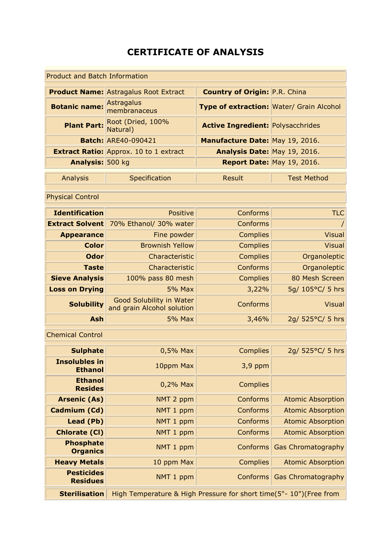## **CERTIFICATE OF ANALYSIS**

| <b>Product and Batch Information</b>            |                                               |                                          |                            |  |  |
|-------------------------------------------------|-----------------------------------------------|------------------------------------------|----------------------------|--|--|
|                                                 | <b>Product Name: Astragalus Root Extract</b>  | <b>Country of Origin: P.R. China</b>     |                            |  |  |
| <b>Botanic name:</b> Astragalus<br>membranaceus |                                               | Type of extraction: Water/ Grain Alcohol |                            |  |  |
|                                                 | <b>Plant Part:</b> Root (Dried, 100%          | <b>Active Ingredient: Polysacchrides</b> |                            |  |  |
|                                                 | <b>Batch: ARE40-090421</b>                    | Manufacture Date: May 19, 2016.          |                            |  |  |
|                                                 | <b>Extract Ratio: Approx. 10 to 1 extract</b> | Analysis Date: May 19, 2016.             |                            |  |  |
| Analysis: 500 kg                                |                                               |                                          | Report Date: May 19, 2016. |  |  |
|                                                 |                                               |                                          |                            |  |  |
| Analysis                                        | Specification                                 | Result                                   | <b>Test Method</b>         |  |  |

Physical Control

| <b>Identification</b> | Positive                                               | Conforms        | <b>TLC</b>       |
|-----------------------|--------------------------------------------------------|-----------------|------------------|
|                       | <b>Extract Solvent</b> 70% Ethanol/ 30% water          | <b>Conforms</b> |                  |
| <b>Appearance</b>     | Fine powder                                            | <b>Complies</b> | <b>Visual</b>    |
| <b>Color</b>          | <b>Brownish Yellow</b>                                 | <b>Complies</b> | <b>Visual</b>    |
| <b>Odor</b>           | Characteristic                                         | <b>Complies</b> | Organoleptic     |
| <b>Taste</b>          | Characteristic                                         | Conforms        | Organoleptic     |
| <b>Sieve Analysis</b> | 100% pass 80 mesh                                      | <b>Complies</b> | 80 Mesh Screen   |
| <b>Loss on Drying</b> | <b>5% Max</b>                                          | 3,22%           | 5g/ 105°C/ 5 hrs |
| <b>Solubility</b>     | Good Solubility in Water<br>and grain Alcohol solution | <b>Conforms</b> | <b>Visual</b>    |
| <b>Ash</b>            | <b>5% Max</b>                                          | 3,46%           | 2g/ 525°C/ 5 hrs |

Chemical Control

| <b>Sulphate</b>                        | $0,5%$ Max                                                         | <b>Complies</b> | 2g/ 525°C/ 5 hrs          |
|----------------------------------------|--------------------------------------------------------------------|-----------------|---------------------------|
| <b>Insolubles in</b><br><b>Ethanol</b> | 10ppm Max                                                          | 3,9 ppm         |                           |
| <b>Ethanol</b><br><b>Resides</b>       | $0,2%$ Max                                                         | <b>Complies</b> |                           |
| <b>Arsenic (As)</b>                    | NMT 2 ppm                                                          | Conforms        | <b>Atomic Absorption</b>  |
| Cadmium (Cd)                           | NMT 1 ppm                                                          | Conforms        | <b>Atomic Absorption</b>  |
| Lead (Pb)                              | NMT 1 ppm                                                          | Conforms        | <b>Atomic Absorption</b>  |
| <b>Chlorate (CI)</b>                   | NMT 1 ppm                                                          | <b>Conforms</b> | <b>Atomic Absorption</b>  |
| <b>Phosphate</b><br><b>Organics</b>    | NMT 1 ppm                                                          | Conforms        | <b>Gas Chromatography</b> |
| <b>Heavy Metals</b>                    | 10 ppm Max                                                         | <b>Complies</b> | <b>Atomic Absorption</b>  |
| <b>Pesticides</b><br><b>Residues</b>   | NMT 1 ppm                                                          | Conforms        | <b>Gas Chromatography</b> |
| <b>Sterilisation</b>                   | High Temperature & High Pressure for short time(5"- 10")(Free from |                 |                           |